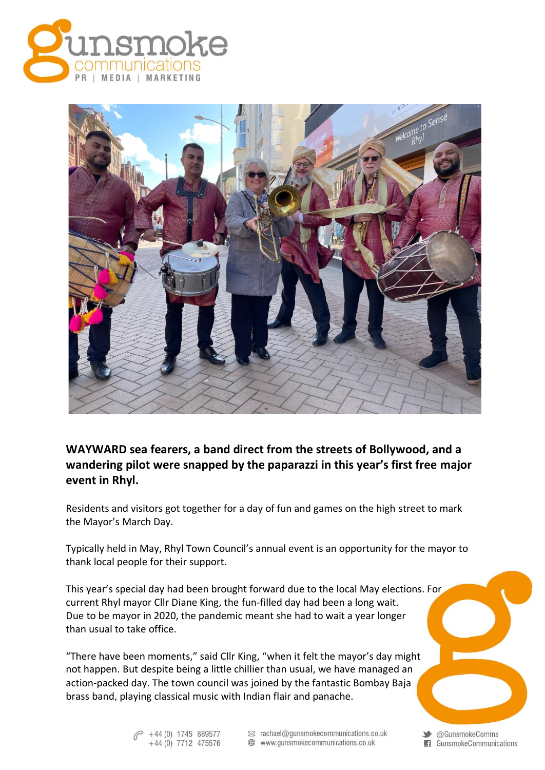



## **WAYWARD sea fearers, a band direct from the streets of Bollywood, and a wandering pilot were snapped by the paparazzi in this year's first free major event in Rhyl.**

Residents and visitors got together for a day of fun and games on the high street to mark the Mayor's March Day.

Typically held in May, Rhyl Town Council's annual event is an opportunity for the mayor to thank local people for their support.

This year's special day had been brought forward due to the local May elections. For current Rhyl mayor Cllr Diane King, the fun-filled day had been a long wait. Due to be mayor in 2020, the pandemic meant she had to wait a year longer than usual to take office.

"There have been moments," said Cllr King, "when it felt the mayor's day might not happen. But despite being a little chillier than usual, we have managed an action-packed day. The town council was joined by the fantastic Bombay Baja brass band, playing classical music with Indian flair and panache.

> +44 (0) 1745 889577  $+44(0)$  7712 475576

⊠ rachael@gunsmokecommunications.co.uk

www.gunsmokecommunications.co.uk

Standard Comms GunsmokeCommunications